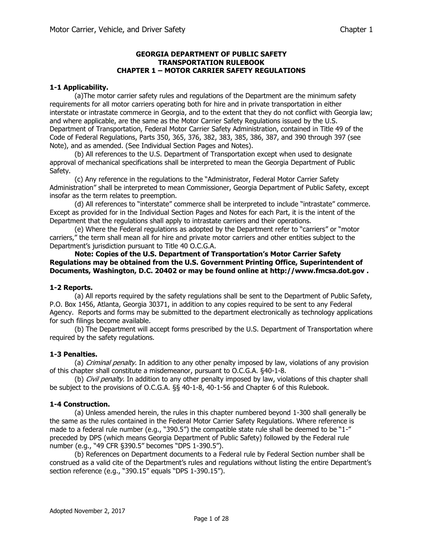## **GEORGIA DEPARTMENT OF PUBLIC SAFETY TRANSPORTATION RULEBOOK CHAPTER 1 – MOTOR CARRIER SAFETY REGULATIONS**

### **1-1 Applicability.**

(a)The motor carrier safety rules and regulations of the Department are the minimum safety requirements for all motor carriers operating both for hire and in private transportation in either interstate or intrastate commerce in Georgia, and to the extent that they do not conflict with Georgia law; and where applicable, are the same as the Motor Carrier Safety Regulations issued by the U.S. Department of Transportation, Federal Motor Carrier Safety Administration, contained in Title 49 of the Code of Federal Regulations, Parts 350, 365, 376, 382, 383, 385, 386, 387, and 390 through 397 (see Note), and as amended. (See Individual Section Pages and Notes).

(b) All references to the U.S. Department of Transportation except when used to designate approval of mechanical specifications shall be interpreted to mean the Georgia Department of Public Safety.

(c) Any reference in the regulations to the "Administrator, Federal Motor Carrier Safety Administration" shall be interpreted to mean Commissioner, Georgia Department of Public Safety, except insofar as the term relates to preemption.

(d) All references to "interstate" commerce shall be interpreted to include "intrastate" commerce. Except as provided for in the Individual Section Pages and Notes for each Part, it is the intent of the Department that the regulations shall apply to intrastate carriers and their operations.

(e) Where the Federal regulations as adopted by the Department refer to "carriers" or "motor carriers," the term shall mean all for hire and private motor carriers and other entities subject to the Department's jurisdiction pursuant to Title 40 O.C.G.A.

**Note: Copies of the U.S. Department of Transportation's Motor Carrier Safety Regulations may be obtained from the U.S. Government Printing Office, Superintendent of Documents, Washington, D.C. 20402 or may be found online at [http://www.fmcsa.dot.gov](http://www.fmcsa.dot.gov/) .**

#### **1-2 Reports.**

(a) All reports required by the safety regulations shall be sent to the Department of Public Safety, P.O. Box 1456, Atlanta, Georgia 30371, in addition to any copies required to be sent to any Federal Agency. Reports and forms may be submitted to the department electronically as technology applications for such filings become available.

(b) The Department will accept forms prescribed by the U.S. Department of Transportation where required by the safety regulations.

#### **1-3 Penalties.**

(a) *Criminal penalty.* In addition to any other penalty imposed by law, violations of any provision of this chapter shall constitute a misdemeanor, pursuant to O.C.G.A. §40-1-8.

(b) *Civil penalty.* In addition to any other penalty imposed by law, violations of this chapter shall be subject to the provisions of O.C.G.A. §§ 40-1-8, 40-1-56 and Chapter 6 of this Rulebook.

#### **1-4 Construction.**

(a) Unless amended herein, the rules in this chapter numbered beyond 1-300 shall generally be the same as the rules contained in the Federal Motor Carrier Safety Regulations. Where reference is made to a federal rule number (e.g., "390.5") the compatible state rule shall be deemed to be "1-" preceded by DPS (which means Georgia Department of Public Safety) followed by the Federal rule number (e.g., "49 CFR §390.5" becomes "DPS 1-390.5").

(b) References on Department documents to a Federal rule by Federal Section number shall be construed as a valid cite of the Department's rules and regulations without listing the entire Department's section reference (e.g., "390.15" equals "DPS 1-390.15").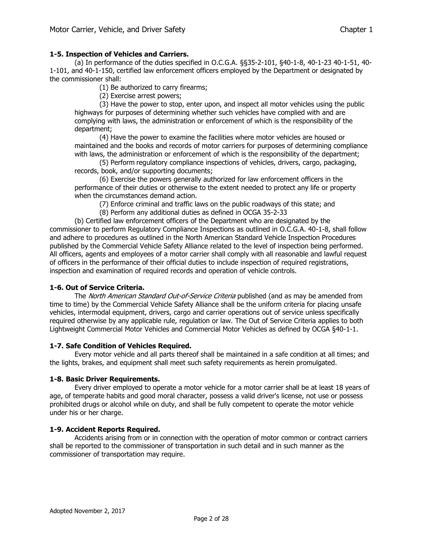# **1-5. Inspection of Vehicles and Carriers.**

(a) In performance of the duties specified in O.C.G.A. §§35-2-101, §40-1-8, 40-1-23 40-1-51, 40- 1-101, and 40-1-150, certified law enforcement officers employed by the Department or designated by the commissioner shall:

(1) Be authorized to carry firearms;

(2) Exercise arrest powers;

(3) Have the power to stop, enter upon, and inspect all motor vehicles using the public highways for purposes of determining whether such vehicles have complied with and are complying with laws, the administration or enforcement of which is the responsibility of the department;

(4) Have the power to examine the facilities where motor vehicles are housed or maintained and the books and records of motor carriers for purposes of determining compliance with laws, the administration or enforcement of which is the responsibility of the department;

(5) Perform regulatory compliance inspections of vehicles, drivers, cargo, packaging, records, book, and/or supporting documents;

(6) Exercise the powers generally authorized for law enforcement officers in the performance of their duties or otherwise to the extent needed to protect any life or property when the circumstances demand action.

(7) Enforce criminal and traffic laws on the public roadways of this state; and

(8) Perform any additional duties as defined in OCGA 35-2-33

(b) Certified law enforcement officers of the Department who are designated by the commissioner to perform Regulatory Compliance Inspections as outlined in O.C.G.A. 40-1-8, shall follow and adhere to procedures as outlined in the North American Standard Vehicle Inspection Procedures published by the Commercial Vehicle Safety Alliance related to the level of inspection being performed. All officers, agents and employees of a motor carrier shall comply with all reasonable and lawful request of officers in the performance of their official duties to include inspection of required registrations, inspection and examination of required records and operation of vehicle controls.

## **1-6. Out of Service Criteria.**

The North American Standard Out-of-Service Criteria published (and as may be amended from time to time) by the Commercial Vehicle Safety Alliance shall be the uniform criteria for placing unsafe vehicles, intermodal equipment, drivers, cargo and carrier operations out of service unless specifically required otherwise by any applicable rule, regulation or law. The Out of Service Criteria applies to both Lightweight Commercial Motor Vehicles and Commercial Motor Vehicles as defined by OCGA §40-1-1.

## **1-7. Safe Condition of Vehicles Required.**

Every motor vehicle and all parts thereof shall be maintained in a safe condition at all times; and the lights, brakes, and equipment shall meet such safety requirements as herein promulgated.

## **1-8. Basic Driver Requirements.**

Every driver employed to operate a motor vehicle for a motor carrier shall be at least 18 years of age, of temperate habits and good moral character, possess a valid driver's license, not use or possess prohibited drugs or alcohol while on duty, and shall be fully competent to operate the motor vehicle under his or her charge.

## **1-9. Accident Reports Required.**

Accidents arising from or in connection with the operation of motor common or contract carriers shall be reported to the commissioner of transportation in such detail and in such manner as the commissioner of transportation may require.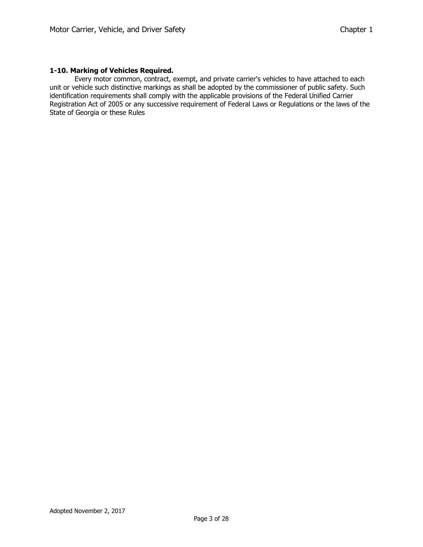## **1-10. Marking of Vehicles Required.**

Every motor common, contract, exempt, and private carrier's vehicles to have attached to each unit or vehicle such distinctive markings as shall be adopted by the commissioner of public safety. Such identification requirements shall comply with the applicable provisions of the Federal Unified Carrier Registration Act of 2005 or any successive requirement of Federal Laws or Regulations or the laws of the State of Georgia or these Rules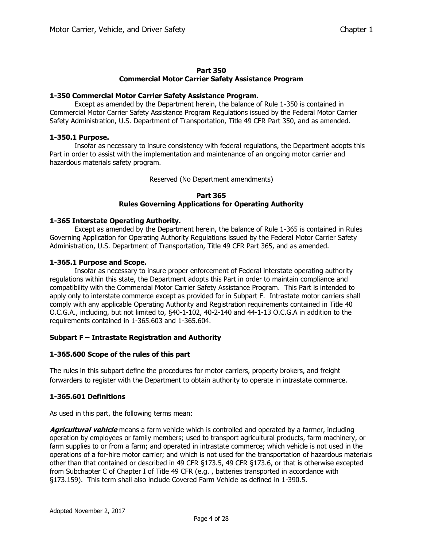## **Part 350 Commercial Motor Carrier Safety Assistance Program**

#### **1-350 Commercial Motor Carrier Safety Assistance Program.**

Except as amended by the Department herein, the balance of Rule 1-350 is contained in Commercial Motor Carrier Safety Assistance Program Regulations issued by the Federal Motor Carrier Safety Administration, U.S. Department of Transportation, Title 49 CFR Part 350, and as amended.

#### **1-350.1 Purpose.**

Insofar as necessary to insure consistency with federal regulations, the Department adopts this Part in order to assist with the implementation and maintenance of an ongoing motor carrier and hazardous materials safety program.

Reserved (No Department amendments)

#### **Part 365 Rules Governing Applications for Operating Authority**

## **1-365 Interstate Operating Authority.**

Except as amended by the Department herein, the balance of Rule 1-365 is contained in Rules Governing Application for Operating Authority Regulations issued by the Federal Motor Carrier Safety Administration, U.S. Department of Transportation, Title 49 CFR Part 365, and as amended.

#### **1-365.1 Purpose and Scope.**

Insofar as necessary to insure proper enforcement of Federal interstate operating authority regulations within this state, the Department adopts this Part in order to maintain compliance and compatibility with the Commercial Motor Carrier Safety Assistance Program. This Part is intended to apply only to interstate commerce except as provided for in Subpart F. Intrastate motor carriers shall comply with any applicable Operating Authority and Registration requirements contained in Title 40 O.C.G.A., including, but not limited to, §40-1-102, 40-2-140 and 44-1-13 O.C.G.A in addition to the requirements contained in 1-365.603 and 1-365.604.

## **Subpart F – Intrastate Registration and Authority**

## **1-365.600 Scope of the rules of this part**

The rules in this subpart define the procedures for motor carriers, property brokers, and freight forwarders to register with the Department to obtain authority to operate in intrastate commerce.

## **1-365.601 Definitions**

As used in this part, the following terms mean:

**Agricultural vehicle** means a farm vehicle which is controlled and operated by a farmer, including operation by employees or family members; used to transport agricultural products, farm machinery, or farm supplies to or from a farm; and operated in intrastate commerce; which vehicle is not used in the operations of a for-hire motor carrier; and which is not used for the transportation of hazardous materials other than that contained or described in 49 CFR §173.5, 49 CFR §173.6, or that is otherwise excepted from Subchapter C of Chapter I of Title 49 CFR (e.g. , batteries transported in accordance with §173.159). This term shall also include Covered Farm Vehicle as defined in 1-390.5.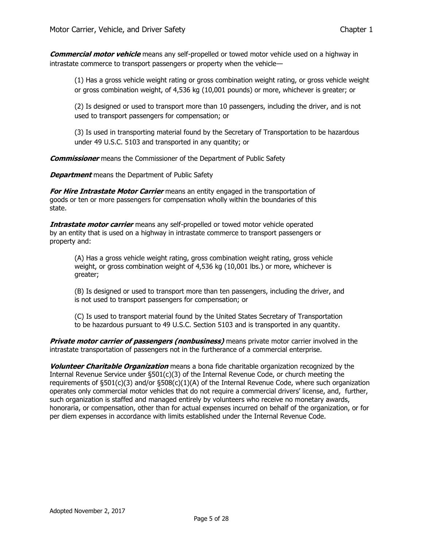**Commercial motor vehicle** means any self-propelled or towed motor vehicle used on a highway in intrastate commerce to transport passengers or property when the vehicle—

(1) Has a gross vehicle weight rating or gross combination weight rating, or gross vehicle weight or gross combination weight, of 4,536 kg (10,001 pounds) or more, whichever is greater; or

(2) Is designed or used to transport more than 10 passengers, including the driver, and is not used to transport passengers for compensation; or

(3) Is used in transporting material found by the Secretary of Transportation to be hazardous under 49 U.S.C. 5103 and transported in any quantity; or

**Commissioner** means the Commissioner of the Department of Public Safety

**Department** means the Department of Public Safety

**For Hire Intrastate Motor Carrier** means an entity engaged in the transportation of goods or ten or more passengers for compensation wholly within the boundaries of this state.

**Intrastate motor carrier** means any self-propelled or towed motor vehicle operated by an entity that is used on a highway in intrastate commerce to transport passengers or property and:

(A) Has a gross vehicle weight rating, gross combination weight rating, gross vehicle weight, or gross combination weight of 4,536 kg (10,001 lbs.) or more, whichever is greater;

(B) Is designed or used to transport more than ten passengers, including the driver, and is not used to transport passengers for compensation; or

(C) Is used to transport material found by the United States Secretary of Transportation to be hazardous pursuant to 49 U.S.C. Section 5103 and is transported in any quantity.

**Private motor carrier of passengers (nonbusiness)** means private motor carrier involved in the intrastate transportation of passengers not in the furtherance of a commercial enterprise.

**Volunteer Charitable Organization** means a bona fide charitable organization recognized by the Internal Revenue Service under  $\S501(c)(3)$  of the Internal Revenue Code, or church meeting the requirements of  $\S501(c)(3)$  and/or  $\S508(c)(1)(A)$  of the Internal Revenue Code, where such organization operates only commercial motor vehicles that do not require a commercial drivers' license, and, further, such organization is staffed and managed entirely by volunteers who receive no monetary awards, honoraria, or compensation, other than for actual expenses incurred on behalf of the organization, or for per diem expenses in accordance with limits established under the Internal Revenue Code.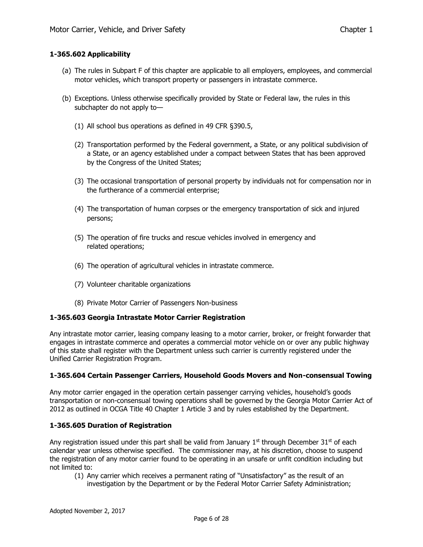## **1-365.602 Applicability**

- (a) The rules in Subpart F of this chapter are applicable to all employers, employees, and commercial motor vehicles, which transport property or passengers in intrastate commerce.
- (b) Exceptions. Unless otherwise specifically provided by State or Federal law, the rules in this subchapter do not apply to—
	- (1) All school bus operations as defined in 49 CFR [§390.5,](file:///C:/Users/sbmoore/AppData/Local/Raid/2242)
	- (2) Transportation performed by the Federal government, a State, or any political subdivision of a State, or an agency established under a compact between States that has been approved by the Congress of the United States;
	- (3) The occasional transportation of personal property by individuals not for compensation nor in the furtherance of a commercial enterprise;
	- (4) The transportation of human corpses or the emergency transportation of sick and injured persons;
	- (5) The operation of fire trucks and rescue vehicles involved in emergency and related operations;
	- (6) The operation of agricultural vehicles in intrastate commerce.
	- (7) Volunteer charitable organizations
	- (8) Private Motor Carrier of Passengers Non-business

## **1-365.603 Georgia Intrastate Motor Carrier Registration**

Any intrastate motor carrier, leasing company leasing to a motor carrier, broker, or freight forwarder that engages in intrastate commerce and operates a commercial motor vehicle on or over any public highway of this state shall register with the Department unless such carrier is currently registered under the Unified Carrier Registration Program.

## **1-365.604 Certain Passenger Carriers, Household Goods Movers and Non-consensual Towing**

Any motor carrier engaged in the operation certain passenger carrying vehicles, household's goods transportation or non-consensual towing operations shall be governed by the Georgia Motor Carrier Act of 2012 as outlined in OCGA Title 40 Chapter 1 Article 3 and by rules established by the Department.

## **1-365.605 Duration of Registration**

Any registration issued under this part shall be valid from January  $1<sup>st</sup>$  through December 31<sup>st</sup> of each calendar year unless otherwise specified. The commissioner may, at his discretion, choose to suspend the registration of any motor carrier found to be operating in an unsafe or unfit condition including but not limited to:

- (1) Any carrier which receives a permanent rating of "Unsatisfactory" as the result of an
	- investigation by the Department or by the Federal Motor Carrier Safety Administration;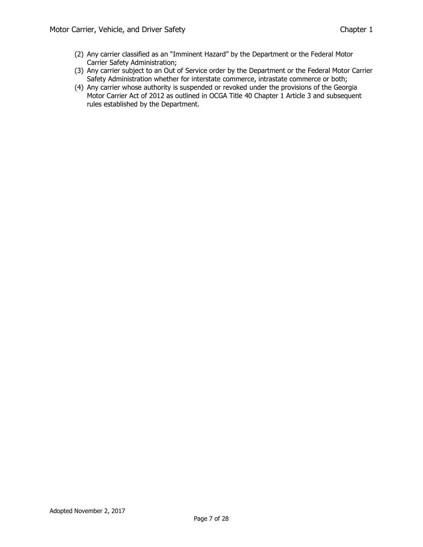- (2) Any carrier classified as an "Imminent Hazard" by the Department or the Federal Motor Carrier Safety Administration;
- (3) Any carrier subject to an Out of Service order by the Department or the Federal Motor Carrier Safety Administration whether for interstate commerce, intrastate commerce or both;
- (4) Any carrier whose authority is suspended or revoked under the provisions of the Georgia Motor Carrier Act of 2012 as outlined in OCGA Title 40 Chapter 1 Article 3 and subsequent rules established by the Department.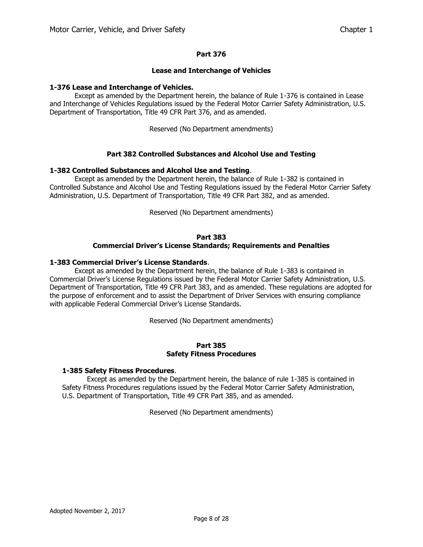#### **Lease and Interchange of Vehicles**

#### **1-376 Lease and Interchange of Vehicles.**

Except as amended by the Department herein, the balance of Rule 1-376 is contained in Lease and Interchange of Vehicles Regulations issued by the Federal Motor Carrier Safety Administration, U.S. Department of Transportation, Title 49 CFR Part 376, and as amended.

Reserved (No Department amendments)

## **Part 382 Controlled Substances and Alcohol Use and Testing**

#### **1-382 Controlled Substances and Alcohol Use and Testing**.

Except as amended by the Department herein, the balance of Rule 1-382 is contained in Controlled Substance and Alcohol Use and Testing Regulations issued by the Federal Motor Carrier Safety Administration, U.S. Department of Transportation, Title 49 CFR Part 382, and as amended.

Reserved (No Department amendments)

#### **Part 383**

#### **Commercial Driver's License Standards; Requirements and Penalties**

#### **1-383 Commercial Driver's License Standards**.

Except as amended by the Department herein, the balance of Rule 1-383 is contained in Commercial Driver's License Regulations issued by the Federal Motor Carrier Safety Administration, U.S. Department of Transportation, Title 49 CFR Part 383, and as amended. These regulations are adopted for the purpose of enforcement and to assist the Department of Driver Services with ensuring compliance with applicable Federal Commercial Driver's License Standards.

Reserved (No Department amendments)

#### **Part 385 Safety Fitness Procedures**

#### **1-385 Safety Fitness Procedures**.

Except as amended by the Department herein, the balance of rule 1-385 is contained in Safety Fitness Procedures regulations issued by the Federal Motor Carrier Safety Administration, U.S. Department of Transportation, Title 49 CFR Part 385, and as amended.

Reserved (No Department amendments)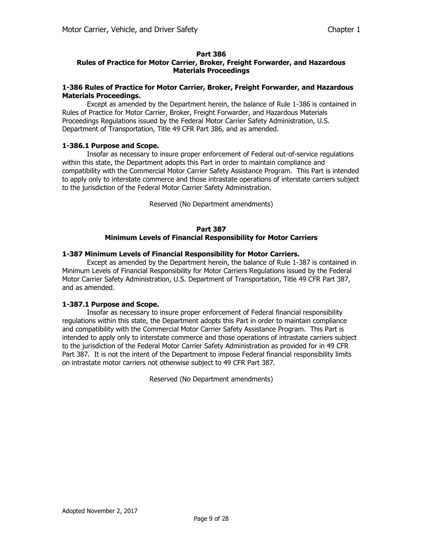# **Rules of Practice for Motor Carrier, Broker, Freight Forwarder, and Hazardous Materials Proceedings**

#### **1-386 Rules of Practice for Motor Carrier, Broker, Freight Forwarder, and Hazardous Materials Proceedings.**

Except as amended by the Department herein, the balance of Rule 1-386 is contained in Rules of Practice for Motor Carrier, Broker, Freight Forwarder, and Hazardous Materials Proceedings Regulations issued by the Federal Motor Carrier Safety Administration, U.S. Department of Transportation, Title 49 CFR Part 386, and as amended.

## **1-386.1 Purpose and Scope.**

Insofar as necessary to insure proper enforcement of Federal out-of-service regulations within this state, the Department adopts this Part in order to maintain compliance and compatibility with the Commercial Motor Carrier Safety Assistance Program. This Part is intended to apply only to interstate commerce and those intrastate operations of interstate carriers subject to the jurisdiction of the Federal Motor Carrier Safety Administration.

Reserved (No Department amendments)

#### **Part 387 Minimum Levels of Financial Responsibility for Motor Carriers**

# **1-387 Minimum Levels of Financial Responsibility for Motor Carriers.**

Except as amended by the Department herein, the balance of Rule 1-387 is contained in Minimum Levels of Financial Responsibility for Motor Carriers Regulations issued by the Federal Motor Carrier Safety Administration, U.S. Department of Transportation, Title 49 CFR Part 387, and as amended.

## **1-387.1 Purpose and Scope.**

Insofar as necessary to insure proper enforcement of Federal financial responsibility regulations within this state, the Department adopts this Part in order to maintain compliance and compatibility with the Commercial Motor Carrier Safety Assistance Program. This Part is intended to apply only to interstate commerce and those operations of intrastate carriers subject to the jurisdiction of the Federal Motor Carrier Safety Administration as provided for in 49 CFR Part 387. It is not the intent of the Department to impose Federal financial responsibility limits on intrastate motor carriers not otherwise subject to 49 CFR Part 387.

Reserved (No Department amendments)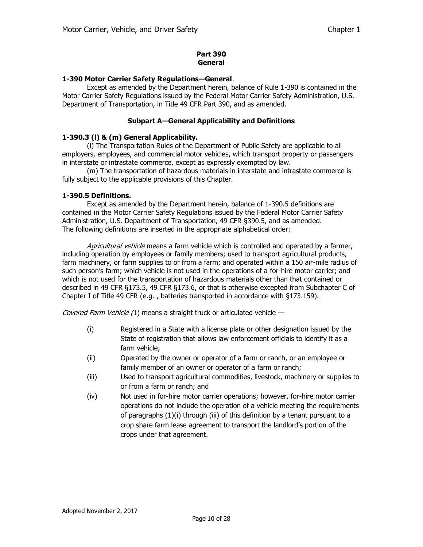#### **Part 390 General**

## **1-390 Motor Carrier Safety Regulations—General**.

Except as amended by the Department herein, balance of Rule 1-390 is contained in the Motor Carrier Safety Regulations issued by the Federal Motor Carrier Safety Administration, U.S. Department of Transportation, in Title 49 CFR Part 390, and as amended.

## **Subpart A—General Applicability and Definitions**

# **1-390.3 (l) & (m) General Applicability.**

(l) The Transportation Rules of the Department of Public Safety are applicable to all employers, employees, and commercial motor vehicles, which transport property or passengers in interstate or intrastate commerce, except as expressly exempted by law.

(m) The transportation of hazardous materials in interstate and intrastate commerce is fully subject to the applicable provisions of this Chapter.

# **1-390.5 Definitions.**

Except as amended by the Department herein, balance of 1-390.5 definitions are contained in the Motor Carrier Safety Regulations issued by the Federal Motor Carrier Safety Administration, U.S. Department of Transportation, 49 CFR §390.5, and as amended. The following definitions are inserted in the appropriate alphabetical order:

Agricultural vehicle means a farm vehicle which is controlled and operated by a farmer, including operation by employees or family members; used to transport agricultural products, farm machinery, or farm supplies to or from a farm; and operated within a 150 air-mile radius of such person's farm; which vehicle is not used in the operations of a for-hire motor carrier; and which is not used for the transportation of hazardous materials other than that contained or described in 49 CFR §173.5, 49 CFR §173.6, or that is otherwise excepted from Subchapter C of Chapter I of Title 49 CFR (e.g. , batteries transported in accordance with §173.159).

Covered Farm Vehicle (1) means a straight truck or articulated vehicle -

- (i) Registered in a State with a license plate or other designation issued by the State of registration that allows law enforcement officials to identify it as a farm vehicle;
- (ii) Operated by the owner or operator of a farm or ranch, or an employee or family member of an owner or operator of a farm or ranch;
- (iii) Used to transport agricultural commodities, livestock, machinery or supplies to or from a farm or ranch; and
- (iv) Not used in for-hire motor carrier operations; however, for-hire motor carrier operations do not include the operation of a vehicle meeting the requirements of paragraphs (1)(i) through (iii) of this definition by a tenant pursuant to a crop share farm lease agreement to transport the landlord's portion of the crops under that agreement.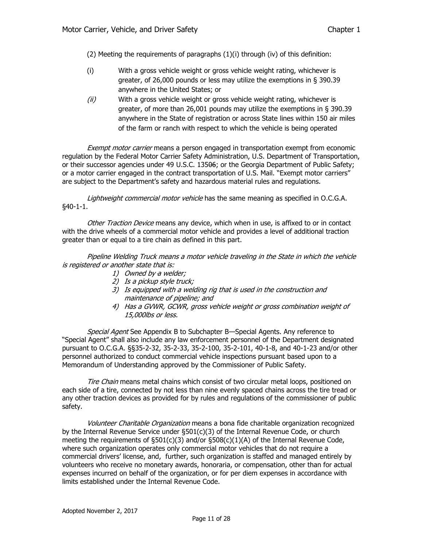(2) Meeting the requirements of paragraphs  $(1)(i)$  through (iv) of this definition:

- (i) With a gross vehicle weight or gross vehicle weight rating, whichever is greater, of 26,000 pounds or less may utilize the exemptions in § 390.39 anywhere in the United States; or
- $(ii)$  With a gross vehicle weight or gross vehicle weight rating, whichever is greater, of more than 26,001 pounds may utilize the exemptions in § 390.39 anywhere in the State of registration or across State lines within 150 air miles of the farm or ranch with respect to which the vehicle is being operated

Exempt motor carrier means a person engaged in transportation exempt from economic regulation by the Federal Motor Carrier Safety Administration, U.S. Department of Transportation, or their successor agencies under 49 U.S.C. 13506; or the Georgia Department of Public Safety; or a motor carrier engaged in the contract transportation of U.S. Mail. "Exempt motor carriers" are subject to the Department's safety and hazardous material rules and regulations.

Lightweight commercial motor vehicle has the same meaning as specified in O.C.G.A. §40-1-1.

Other Traction Device means any device, which when in use, is affixed to or in contact with the drive wheels of a commercial motor vehicle and provides a level of additional traction greater than or equal to a tire chain as defined in this part.

Pipeline Welding Truck means a motor vehicle traveling in the State in which the vehicle is registered or another state that is:

- 1) Owned by a welder;
- 2) Is a pickup style truck;
- 3) Is equipped with a welding rig that is used in the construction and maintenance of pipeline; and
- 4) Has a GVWR, GCWR, gross vehicle weight or gross combination weight of 15,000lbs or less.

Special Agent See Appendix B to Subchapter B-Special Agents. Any reference to "Special Agent" shall also include any law enforcement personnel of the Department designated pursuant to O.C.G.A. §§35-2-32, 35-2-33, 35-2-100, 35-2-101, 40-1-8, and 40-1-23 and/or other personnel authorized to conduct commercial vehicle inspections pursuant based upon to a Memorandum of Understanding approved by the Commissioner of Public Safety.

Tire Chain means metal chains which consist of two circular metal loops, positioned on each side of a tire, connected by not less than nine evenly spaced chains across the tire tread or any other traction devices as provided for by rules and regulations of the commissioner of public safety.

Volunteer Charitable Organization means a bona fide charitable organization recognized by the Internal Revenue Service under §501(c)(3) of the Internal Revenue Code, or church meeting the requirements of  $\S501(c)(3)$  and/or  $\S508(c)(1)(A)$  of the Internal Revenue Code, where such organization operates only commercial motor vehicles that do not require a commercial drivers' license, and, further, such organization is staffed and managed entirely by volunteers who receive no monetary awards, honoraria, or compensation, other than for actual expenses incurred on behalf of the organization, or for per diem expenses in accordance with limits established under the Internal Revenue Code.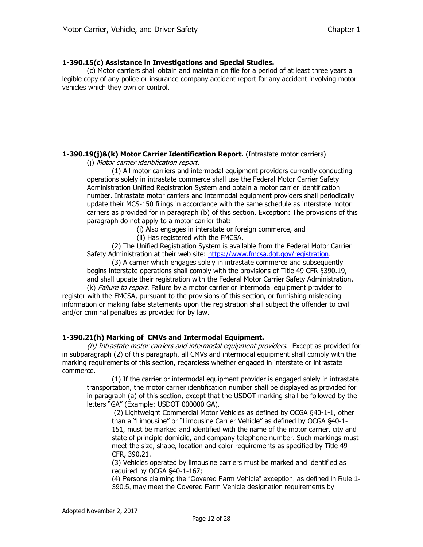### **1-390.15(c) Assistance in Investigations and Special Studies.**

(c) Motor carriers shall obtain and maintain on file for a period of at least three years a legible copy of any police or insurance company accident report for any accident involving motor vehicles which they own or control.

## **1-390.19(j)&(k) Motor Carrier Identification Report.** (Intrastate motor carriers)

(j) Motor carrier identification report.

(1) All motor carriers and intermodal equipment providers currently conducting operations solely in intrastate commerce shall use the Federal Motor Carrier Safety Administration Unified Registration System and obtain a motor carrier identification number. Intrastate motor carriers and intermodal equipment providers shall periodically update their MCS-150 filings in accordance with the same schedule as interstate motor carriers as provided for in paragraph (b) of this section. Exception: The provisions of this paragraph do not apply to a motor carrier that:

(i) Also engages in interstate or foreign commerce, and

(ii) Has registered with the FMCSA,

(2) The Unified Registration System is available from the Federal Motor Carrier Safety Administration at their web site: [https://www.fmcsa.dot.gov/registration.](https://www.fmcsa.dot.gov/registration)

(3) A carrier which engages solely in intrastate commerce and subsequently begins interstate operations shall comply with the provisions of Title 49 CFR §390.19, and shall update their registration with the Federal Motor Carrier Safety Administration.

(k) Failure to report. Failure by a motor carrier or intermodal equipment provider to register with the FMCSA, pursuant to the provisions of this section, or furnishing misleading information or making false statements upon the registration shall subject the offender to civil and/or criminal penalties as provided for by law.

## **1-390.21(h) Marking of CMVs and Intermodal Equipment.**

(h) Intrastate motor carriers and intermodal equipment providers. Except as provided for in subparagraph (2) of this paragraph, all CMVs and intermodal equipment shall comply with the marking requirements of this section, regardless whether engaged in interstate or intrastate commerce.

(1) If the carrier or intermodal equipment provider is engaged solely in intrastate transportation, the motor carrier identification number shall be displayed as provided for in paragraph (a) of this section, except that the USDOT marking shall be followed by the letters "GA" (Example: USDOT 000000 GA).

(2) Lightweight Commercial Motor Vehicles as defined by OCGA §40-1-1, other than a "Limousine" or "Limousine Carrier Vehicle" as defined by OCGA §40-1- 151, must be marked and identified with the name of the motor carrier, city and state of principle domicile, and company telephone number. Such markings must meet the size, shape, location and color requirements as specified by Title 49 CFR, 390.21.

(3) Vehicles operated by limousine carriers must be marked and identified as required by OCGA §40-1-167;

(4) Persons claiming the "Covered Farm Vehicle" exception, as defined in Rule 1- 390.5, may meet the Covered Farm Vehicle designation requirements by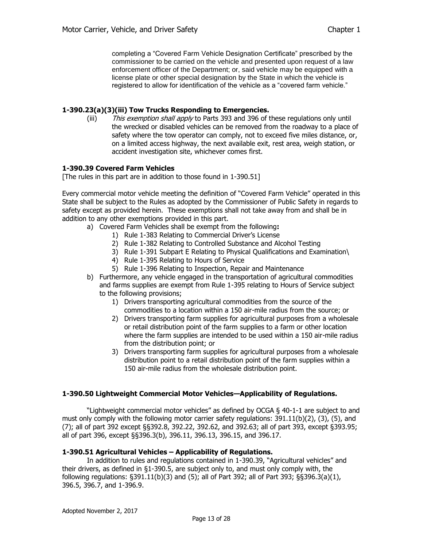completing a "Covered Farm Vehicle Designation Certificate" prescribed by the commissioner to be carried on the vehicle and presented upon request of a law enforcement officer of the Department; or, said vehicle may be equipped with a license plate or other special designation by the State in which the vehicle is registered to allow for identification of the vehicle as a "covered farm vehicle."

### **1-390.23(a)(3)(iii) Tow Trucks Responding to Emergencies.**

(iii) This exemption shall apply to Parts 393 and 396 of these regulations only until the wrecked or disabled vehicles can be removed from the roadway to a place of safety where the tow operator can comply, not to exceed five miles distance, or, on a limited access highway, the next available exit, rest area, weigh station, or accident investigation site, whichever comes first.

### **1-390.39 Covered Farm Vehicles**

[The rules in this part are in addition to those found in 1-390.51]

Every commercial motor vehicle meeting the definition of "Covered Farm Vehicle" operated in this State shall be subject to the Rules as adopted by the Commissioner of Public Safety in regards to safety except as provided herein. These exemptions shall not take away from and shall be in addition to any other exemptions provided in this part.

- a) Covered Farm Vehicles shall be exempt from the following**:**
	- 1) Rule 1-383 Relating to Commercial Driver's License
	- 2) Rule 1-382 Relating to Controlled Substance and Alcohol Testing
	- 3) Rule 1-391 Subpart E Relating to Physical Qualifications and Examination\
	- 4) Rule 1-395 Relating to Hours of Service
	- 5) Rule 1-396 Relating to Inspection, Repair and Maintenance
- b) Furthermore, any vehicle engaged in the transportation of agricultural commodities and farms supplies are exempt from Rule 1-395 relating to Hours of Service subject to the following provisions;
	- 1) Drivers transporting agricultural commodities from the source of the commodities to a location within a 150 air-mile radius from the source; or
	- 2) Drivers transporting farm supplies for agricultural purposes from a wholesale or retail distribution point of the farm supplies to a farm or other location where the farm supplies are intended to be used within a 150 air-mile radius from the distribution point; or
	- 3) Drivers transporting farm supplies for agricultural purposes from a wholesale distribution point to a retail distribution point of the farm supplies within a 150 air-mile radius from the wholesale distribution point.

#### **1-390.50 Lightweight Commercial Motor Vehicles—Applicability of Regulations.**

"Lightweight commercial motor vehicles" as defined by OCGA § 40-1-1 are subject to and must only comply with the following motor carrier safety regulations: 391.11(b)(2), (3), (5), and (7); all of part 392 except §§392.8, 392.22, 392.62, and 392.63; all of part 393, except §393.95; all of part 396, except §§396.3(b), 396.11, 396.13, 396.15, and 396.17.

#### **1-390.51 Agricultural Vehicles – Applicability of Regulations.**

In addition to rules and regulations contained in 1-390.39, "Agricultural vehicles" and their drivers, as defined in §1-390.5, are subject only to, and must only comply with, the following regulations: §391.11(b)(3) and (5); all of Part 392; all of Part 393; §§396.3(a)(1), 396.5, 396.7, and 1-396.9.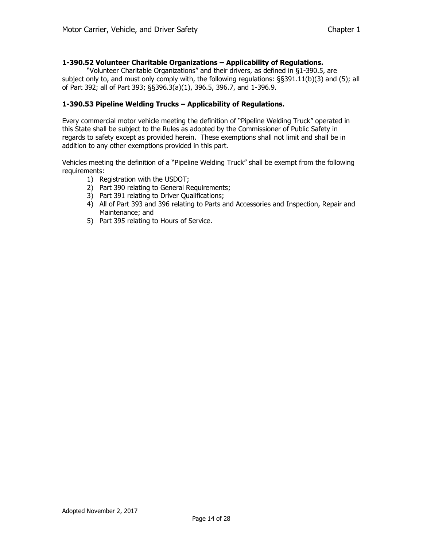## **1-390.52 Volunteer Charitable Organizations – Applicability of Regulations.**

"Volunteer Charitable Organizations" and their drivers, as defined in §1-390.5, are subject only to, and must only comply with, the following regulations: §§391.11(b)(3) and (5); all of Part 392; all of Part 393; §§396.3(a)(1), 396.5, 396.7, and 1-396.9.

#### **1-390.53 Pipeline Welding Trucks – Applicability of Regulations.**

Every commercial motor vehicle meeting the definition of "Pipeline Welding Truck" operated in this State shall be subject to the Rules as adopted by the Commissioner of Public Safety in regards to safety except as provided herein. These exemptions shall not limit and shall be in addition to any other exemptions provided in this part.

Vehicles meeting the definition of a "Pipeline Welding Truck" shall be exempt from the following requirements:

- 1) Registration with the USDOT;
	- 2) Part 390 relating to General Requirements;
	- 3) Part 391 relating to Driver Qualifications;
	- 4) All of Part 393 and 396 relating to Parts and Accessories and Inspection, Repair and Maintenance; and
	- 5) Part 395 relating to Hours of Service.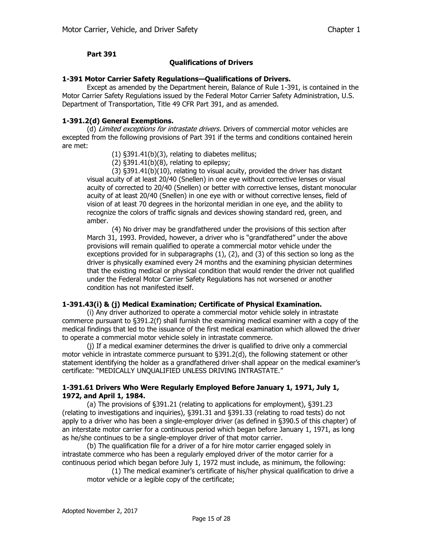### **Qualifications of Drivers**

#### **1-391 Motor Carrier Safety Regulations—Qualifications of Drivers.**

Except as amended by the Department herein, Balance of Rule 1-391, is contained in the Motor Carrier Safety Regulations issued by the Federal Motor Carrier Safety Administration, U.S. Department of Transportation, Title 49 CFR Part 391, and as amended.

### **1-391.2(d) General Exemptions.**

(d) Limited exceptions for intrastate drivers. Drivers of commercial motor vehicles are excepted from the following provisions of Part 391 if the terms and conditions contained herein are met:

(1) §391.41(b)(3), relating to diabetes mellitus;

 $(2)$  §391.41(b) $(8)$ , relating to epilepsy;

(3) §391.41(b)(10), relating to visual acuity, provided the driver has distant visual acuity of at least 20/40 (Snellen) in one eye without corrective lenses or visual acuity of corrected to 20/40 (Snellen) or better with corrective lenses, distant monocular acuity of at least 20/40 (Snellen) in one eye with or without corrective lenses, field of vision of at least 70 degrees in the horizontal meridian in one eye, and the ability to recognize the colors of traffic signals and devices showing standard red, green, and amber.

(4) No driver may be grandfathered under the provisions of this section after March 31, 1993. Provided, however, a driver who is "grandfathered" under the above provisions will remain qualified to operate a commercial motor vehicle under the exceptions provided for in subparagraphs (1), (2), and (3) of this section so long as the driver is physically examined every 24 months and the examining physician determines that the existing medical or physical condition that would render the driver not qualified under the Federal Motor Carrier Safety Regulations has not worsened or another condition has not manifested itself.

## **1-391.43(i) & (j) Medical Examination; Certificate of Physical Examination.**

(i) Any driver authorized to operate a commercial motor vehicle solely in intrastate commerce pursuant to §391.2(f) shall furnish the examining medical examiner with a copy of the medical findings that led to the issuance of the first medical examination which allowed the driver to operate a commercial motor vehicle solely in intrastate commerce.

(j) If a medical examiner determines the driver is qualified to drive only a commercial motor vehicle in intrastate commerce pursuant to §391.2(d), the following statement or other statement identifying the holder as a grandfathered driver shall appear on the medical examiner's certificate: "MEDICALLY UNQUALIFIED UNLESS DRIVING INTRASTATE."

## **1-391.61 Drivers Who Were Regularly Employed Before January 1, 1971, July 1, 1972, and April 1, 1984.**

(a) The provisions of §391.21 (relating to applications for employment), §391.23 (relating to investigations and inquiries), §391.31 and §391.33 (relating to road tests) do not apply to a driver who has been a single-employer driver (as defined in §390.5 of this chapter) of an interstate motor carrier for a continuous period which began before January 1, 1971, as long as he/she continues to be a single-employer driver of that motor carrier.

(b) The qualification file for a driver of a for hire motor carrier engaged solely in intrastate commerce who has been a regularly employed driver of the motor carrier for a continuous period which began before July 1, 1972 must include, as minimum, the following:

(1) The medical examiner's certificate of his/her physical qualification to drive a motor vehicle or a legible copy of the certificate;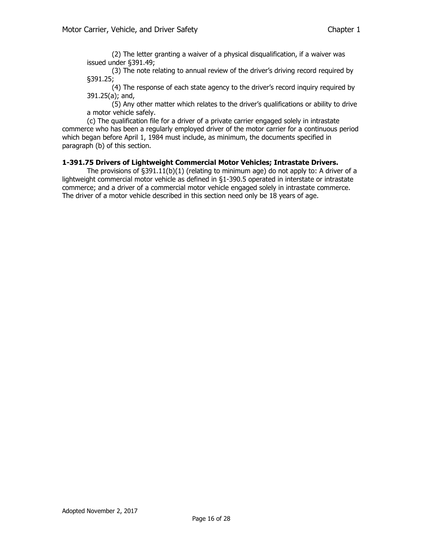(2) The letter granting a waiver of a physical disqualification, if a waiver was issued under §391.49;

(3) The note relating to annual review of the driver's driving record required by §391.25;

(4) The response of each state agency to the driver's record inquiry required by 391.25(a); and,

(5) Any other matter which relates to the driver's qualifications or ability to drive a motor vehicle safely.

(c) The qualification file for a driver of a private carrier engaged solely in intrastate commerce who has been a regularly employed driver of the motor carrier for a continuous period which began before April 1, 1984 must include, as minimum, the documents specified in paragraph (b) of this section.

## **1-391.75 Drivers of Lightweight Commercial Motor Vehicles; Intrastate Drivers.**

The provisions of §391.11(b)(1) (relating to minimum age) do not apply to: A driver of a lightweight commercial motor vehicle as defined in §1-390.5 operated in interstate or intrastate commerce; and a driver of a commercial motor vehicle engaged solely in intrastate commerce. The driver of a motor vehicle described in this section need only be 18 years of age.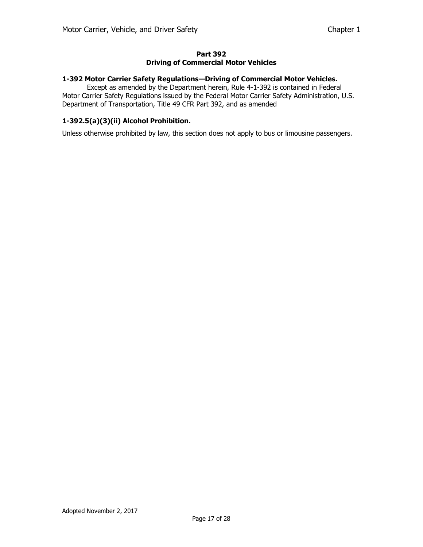#### **Part 392 Driving of Commercial Motor Vehicles**

#### **1-392 Motor Carrier Safety Regulations—Driving of Commercial Motor Vehicles.**

Except as amended by the Department herein, Rule 4-1-392 is contained in Federal Motor Carrier Safety Regulations issued by the Federal Motor Carrier Safety Administration, U.S. Department of Transportation, Title 49 CFR Part 392, and as amended

### **1-392.5(a)(3)(ii) Alcohol Prohibition.**

Unless otherwise prohibited by law, this section does not apply to bus or limousine passengers.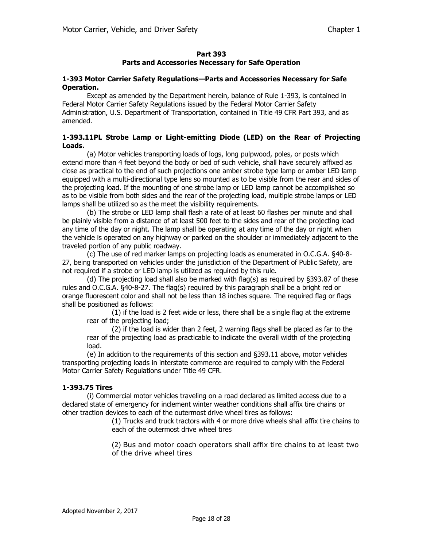## **Parts and Accessories Necessary for Safe Operation**

#### **1-393 Motor Carrier Safety Regulations—Parts and Accessories Necessary for Safe Operation.**

Except as amended by the Department herein, balance of Rule 1-393, is contained in Federal Motor Carrier Safety Regulations issued by the Federal Motor Carrier Safety Administration, U.S. Department of Transportation, contained in Title 49 CFR Part 393, and as amended.

### **1-393.11PL Strobe Lamp or Light-emitting Diode (LED) on the Rear of Projecting Loads.**

(a) Motor vehicles transporting loads of logs, long pulpwood, poles, or posts which extend more than 4 feet beyond the body or bed of such vehicle, shall have securely affixed as close as practical to the end of such projections one amber strobe type lamp or amber LED lamp equipped with a multi-directional type lens so mounted as to be visible from the rear and sides of the projecting load. If the mounting of one strobe lamp or LED lamp cannot be accomplished so as to be visible from both sides and the rear of the projecting load, multiple strobe lamps or LED lamps shall be utilized so as the meet the visibility requirements.

(b) The strobe or LED lamp shall flash a rate of at least 60 flashes per minute and shall be plainly visible from a distance of at least 500 feet to the sides and rear of the projecting load any time of the day or night. The lamp shall be operating at any time of the day or night when the vehicle is operated on any highway or parked on the shoulder or immediately adjacent to the traveled portion of any public roadway.

(c) The use of red marker lamps on projecting loads as enumerated in O.C.G.A. §40-8- 27, being transported on vehicles under the jurisdiction of the Department of Public Safety, are not required if a strobe or LED lamp is utilized as required by this rule.

(d) The projecting load shall also be marked with flag(s) as required by §393.87 of these rules and O.C.G.A. §40-8-27. The flag(s) required by this paragraph shall be a bright red or orange fluorescent color and shall not be less than 18 inches square. The required flag or flags shall be positioned as follows:

(1) if the load is 2 feet wide or less, there shall be a single flag at the extreme rear of the projecting load;

(2) if the load is wider than 2 feet, 2 warning flags shall be placed as far to the rear of the projecting load as practicable to indicate the overall width of the projecting load.

(e) In addition to the requirements of this section and §393.11 above, motor vehicles transporting projecting loads in interstate commerce are required to comply with the Federal Motor Carrier Safety Regulations under Title 49 CFR.

# **1-393.75 Tires**

(i) Commercial motor vehicles traveling on a road declared as limited access due to a declared state of emergency for inclement winter weather conditions shall affix tire chains or other traction devices to each of the outermost drive wheel tires as follows:

> (1) Trucks and truck tractors with 4 or more drive wheels shall affix tire chains to each of the outermost drive wheel tires

> (2) Bus and motor coach operators shall affix tire chains to at least two of the drive wheel tires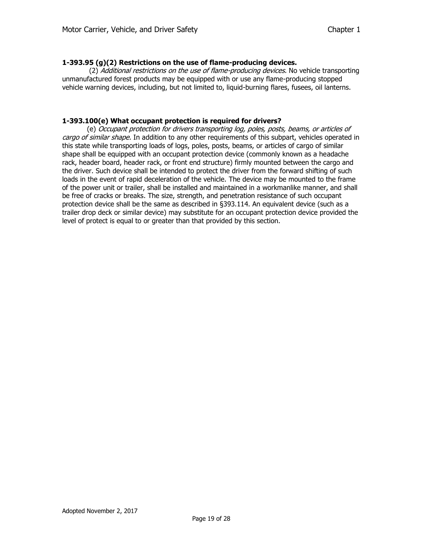## **1-393.95 (g)(2) Restrictions on the use of flame-producing devices.**

(2) Additional restrictions on the use of flame-producing devices. No vehicle transporting unmanufactured forest products may be equipped with or use any flame-producing stopped vehicle warning devices, including, but not limited to, liquid-burning flares, fusees, oil lanterns.

### **1-393.100(e) What occupant protection is required for drivers?**

(e) Occupant protection for drivers transporting log, poles, posts, beams, or articles of cargo of similar shape. In addition to any other requirements of this subpart, vehicles operated in this state while transporting loads of logs, poles, posts, beams, or articles of cargo of similar shape shall be equipped with an occupant protection device (commonly known as a headache rack, header board, header rack, or front end structure) firmly mounted between the cargo and the driver. Such device shall be intended to protect the driver from the forward shifting of such loads in the event of rapid deceleration of the vehicle. The device may be mounted to the frame of the power unit or trailer, shall be installed and maintained in a workmanlike manner, and shall be free of cracks or breaks. The size, strength, and penetration resistance of such occupant protection device shall be the same as described in §393.114. An equivalent device (such as a trailer drop deck or similar device) may substitute for an occupant protection device provided the level of protect is equal to or greater than that provided by this section.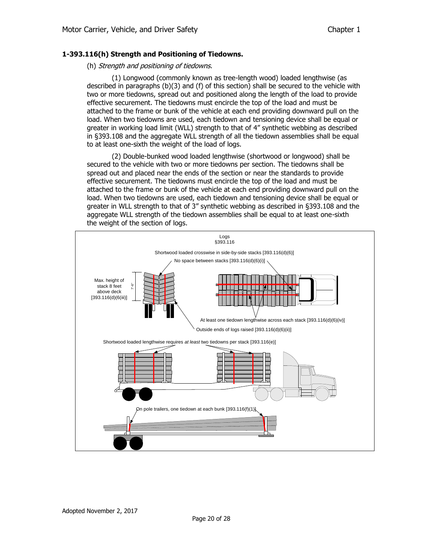### **1-393.116(h) Strength and Positioning of Tiedowns.**

#### (h) Strength and positioning of tiedowns.

(1) Longwood (commonly known as tree-length wood) loaded lengthwise (as described in paragraphs (b)(3) and (f) of this section) shall be secured to the vehicle with two or more tiedowns, spread out and positioned along the length of the load to provide effective securement. The tiedowns must encircle the top of the load and must be attached to the frame or bunk of the vehicle at each end providing downward pull on the load. When two tiedowns are used, each tiedown and tensioning device shall be equal or greater in working load limit (WLL) strength to that of 4" synthetic webbing as described in §393.108 and the aggregate WLL strength of all the tiedown assemblies shall be equal to at least one-sixth the weight of the load of logs.

(2) Double-bunked wood loaded lengthwise (shortwood or longwood) shall be secured to the vehicle with two or more tiedowns per section. The tiedowns shall be spread out and placed near the ends of the section or near the standards to provide effective securement. The tiedowns must encircle the top of the load and must be attached to the frame or bunk of the vehicle at each end providing downward pull on the load. When two tiedowns are used, each tiedown and tensioning device shall be equal or greater in WLL strength to that of 3" synthetic webbing as described in §393.108 and the aggregate WLL strength of the tiedown assemblies shall be equal to at least one-sixth the weight of the section of logs.

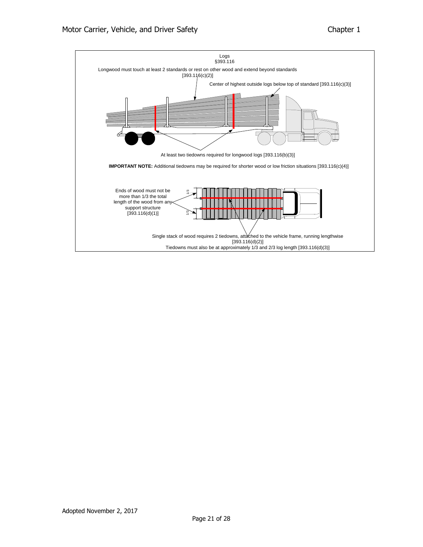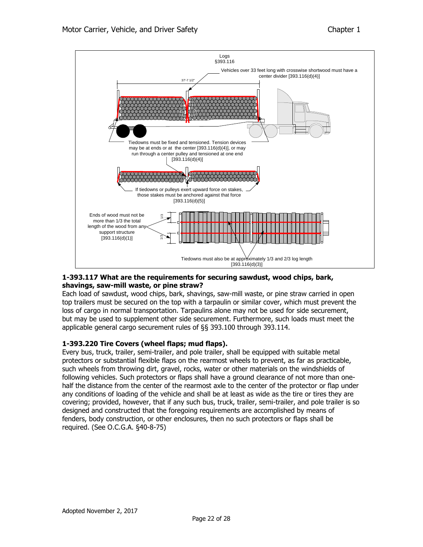

## **1-393.117 What are the requirements for securing sawdust, wood chips, bark, shavings, saw-mill waste, or pine straw?**

Each load of sawdust, wood chips, bark, shavings, saw-mill waste, or pine straw carried in open top trailers must be secured on the top with a tarpaulin or similar cover, which must prevent the loss of cargo in normal transportation. Tarpaulins alone may not be used for side securement, but may be used to supplement other side securement. Furthermore, such loads must meet the applicable general cargo securement rules of §§ 393.100 through 393.114.

## **1-393.220 Tire Covers (wheel flaps; mud flaps).**

Every bus, truck, trailer, semi-trailer, and pole trailer, shall be equipped with suitable metal protectors or substantial flexible flaps on the rearmost wheels to prevent, as far as practicable, such wheels from throwing dirt, gravel, rocks, water or other materials on the windshields of following vehicles. Such protectors or flaps shall have a ground clearance of not more than onehalf the distance from the center of the rearmost axle to the center of the protector or flap under any conditions of loading of the vehicle and shall be at least as wide as the tire or tires they are covering; provided, however, that if any such bus, truck, trailer, semi-trailer, and pole trailer is so designed and constructed that the foregoing requirements are accomplished by means of fenders, body construction, or other enclosures, then no such protectors or flaps shall be Ends of wood must note is an about the more than 1/3 the total<br>
length of the wood from any<br>
support structure<br>
[393.11**7 What are the requinned.**<br> **1-393.117 What are the requinned.**<br> **1-393.117 What are the requinned.**<br>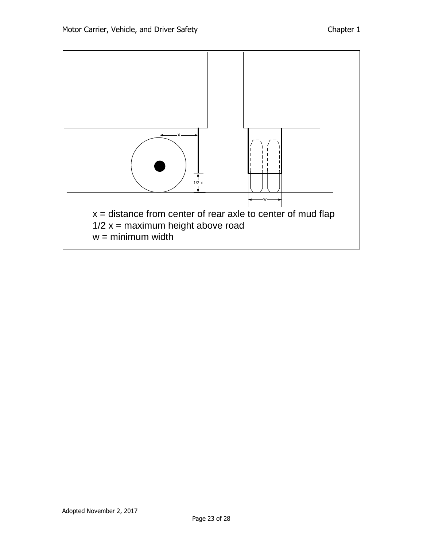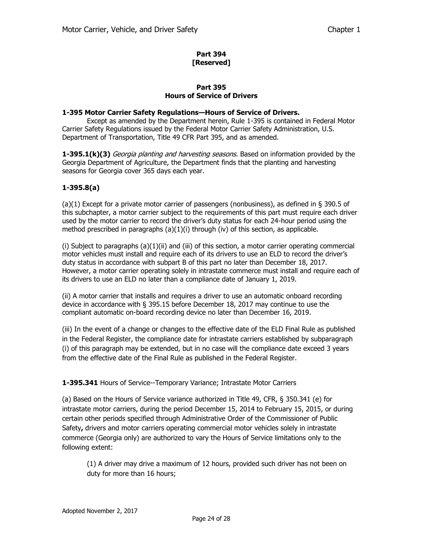## **Part 394 [Reserved]**

## **Part 395 Hours of Service of Drivers**

## **1-395 Motor Carrier Safety Regulations—Hours of Service of Drivers.**

Except as amended by the Department herein, Rule 1-395 is contained in Federal Motor Carrier Safety Regulations issued by the Federal Motor Carrier Safety Administration, U.S. Department of Transportation, Title 49 CFR Part 395, and as amended.

**1-395.1(k)(3)** *Georgia planting and harvesting seasons*. Based on information provided by the Georgia Department of Agriculture, the Department finds that the planting and harvesting seasons for Georgia cover 365 days each year.

# **1-395.8(a)**

(a)(1) Except for a private motor carrier of passengers (nonbusiness), as defined in § 390.5 of this subchapter, a motor carrier subject to the requirements of this part must require each driver used by the motor carrier to record the driver's duty status for each 24-hour period using the method prescribed in paragraphs  $(a)(1)(i)$  through (iv) of this section, as applicable.

(i) Subject to paragraphs (a)(1)(ii) and (iii) of this section, a motor carrier operating commercial motor vehicles must install and require each of its drivers to use an ELD to record the driver's duty status in accordance with subpart B of this part no later than December 18, 2017. However, a motor carrier operating solely in intrastate commerce must install and require each of its drivers to use an ELD no later than a compliance date of January 1, 2019.

(ii) A motor carrier that installs and requires a driver to use an automatic onboard recording device in accordance with § 395.15 before December 18, 2017 may continue to use the compliant automatic on-board recording device no later than December 16, 2019.

(iii) In the event of a change or changes to the effective date of the ELD Final Rule as published in the Federal Register, the compliance date for intrastate carriers established by subparagraph (i) of this paragraph may be extended, but in no case will the compliance date exceed 3 years from the effective date of the Final Rule as published in the Federal Register.

## **1-395.341** Hours of Service--Temporary Variance; Intrastate Motor Carriers

(a) Based on the Hours of Service variance authorized in Title 49, CFR, § 350.341 (e) for intrastate motor carriers, during the period December 15, 2014 to February 15, 2015, or during certain other periods specified through Administrative Order of the Commissioner of Public Safety**,** drivers and motor carriers operating commercial motor vehicles solely in intrastate commerce (Georgia only) are authorized to vary the Hours of Service limitations only to the following extent:

(1) A driver may drive a maximum of 12 hours, provided such driver has not been on duty for more than 16 hours;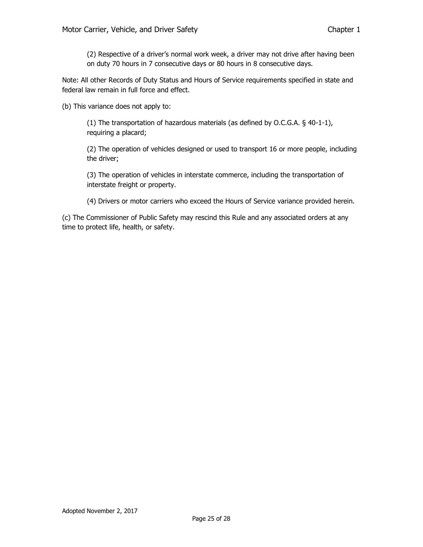(2) Respective of a driver's normal work week, a driver may not drive after having been on duty 70 hours in 7 consecutive days or 80 hours in 8 consecutive days.

Note: All other Records of Duty Status and Hours of Service requirements specified in state and federal law remain in full force and effect.

(b) This variance does not apply to:

(1) The transportation of hazardous materials (as defined by O.C.G.A. § 40-1-1), requiring a placard;

(2) The operation of vehicles designed or used to transport 16 or more people, including the driver;

(3) The operation of vehicles in interstate commerce, including the transportation of interstate freight or property.

(4) Drivers or motor carriers who exceed the Hours of Service variance provided herein.

(c) The Commissioner of Public Safety may rescind this Rule and any associated orders at any time to protect life, health, or safety.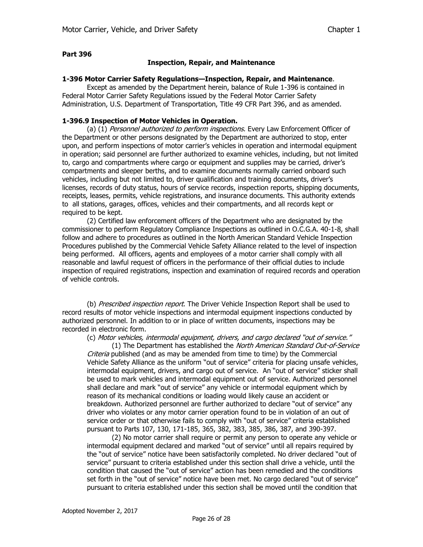#### **Inspection, Repair, and Maintenance**

#### **1-396 Motor Carrier Safety Regulations—Inspection, Repair, and Maintenance**.

Except as amended by the Department herein, balance of Rule 1-396 is contained in Federal Motor Carrier Safety Regulations issued by the Federal Motor Carrier Safety Administration, U.S. Department of Transportation, Title 49 CFR Part 396, and as amended.

#### **1-396.9 Inspection of Motor Vehicles in Operation.**

(a) (1) Personnel authorized to perform inspections. Every Law Enforcement Officer of the Department or other persons designated by the Department are authorized to stop, enter upon, and perform inspections of motor carrier's vehicles in operation and intermodal equipment in operation; said personnel are further authorized to examine vehicles, including, but not limited to, cargo and compartments where cargo or equipment and supplies may be carried, driver's compartments and sleeper berths, and to examine documents normally carried onboard such vehicles, including but not limited to, driver qualification and training documents, driver's licenses, records of duty status, hours of service records, inspection reports, shipping documents, receipts, leases, permits, vehicle registrations, and insurance documents. This authority extends to all stations, garages, offices, vehicles and their compartments, and all records kept or required to be kept.

(2) Certified law enforcement officers of the Department who are designated by the commissioner to perform Regulatory Compliance Inspections as outlined in O.C.G.A. 40-1-8, shall follow and adhere to procedures as outlined in the North American Standard Vehicle Inspection Procedures published by the Commercial Vehicle Safety Alliance related to the level of inspection being performed. All officers, agents and employees of a motor carrier shall comply with all reasonable and lawful request of officers in the performance of their official duties to include inspection of required registrations, inspection and examination of required records and operation of vehicle controls.

(b) Prescribed inspection report. The Driver Vehicle Inspection Report shall be used to record results of motor vehicle inspections and intermodal equipment inspections conducted by authorized personnel. In addition to or in place of written documents, inspections may be recorded in electronic form.

(c) Motor vehicles, intermodal equipment, drivers, and cargo declared "out of service."

(1) The Department has established the North American Standard Out-of-Service Criteria published (and as may be amended from time to time) by the Commercial Vehicle Safety Alliance as the uniform "out of service" criteria for placing unsafe vehicles, intermodal equipment, drivers, and cargo out of service. An "out of service" sticker shall be used to mark vehicles and intermodal equipment out of service. Authorized personnel shall declare and mark "out of service" any vehicle or intermodal equipment which by reason of its mechanical conditions or loading would likely cause an accident or breakdown. Authorized personnel are further authorized to declare "out of service" any driver who violates or any motor carrier operation found to be in violation of an out of service order or that otherwise fails to comply with "out of service" criteria established pursuant to Parts 107, 130, 171-185, 365, 382, 383, 385, 386, 387, and 390-397.

(2) No motor carrier shall require or permit any person to operate any vehicle or intermodal equipment declared and marked "out of service" until all repairs required by the "out of service" notice have been satisfactorily completed. No driver declared "out of service" pursuant to criteria established under this section shall drive a vehicle, until the condition that caused the "out of service" action has been remedied and the conditions set forth in the "out of service" notice have been met. No cargo declared "out of service" pursuant to criteria established under this section shall be moved until the condition that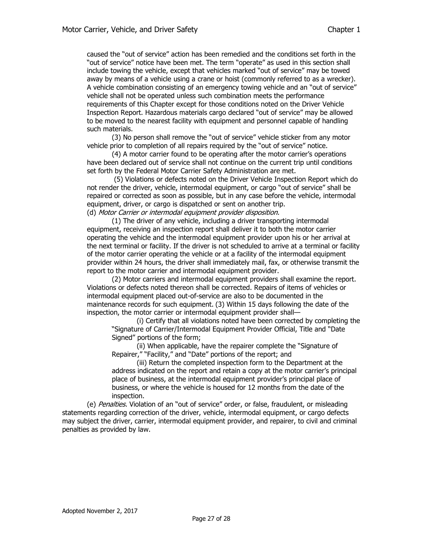caused the "out of service" action has been remedied and the conditions set forth in the "out of service" notice have been met. The term "operate" as used in this section shall include towing the vehicle, except that vehicles marked "out of service" may be towed away by means of a vehicle using a crane or hoist (commonly referred to as a wrecker). A vehicle combination consisting of an emergency towing vehicle and an "out of service" vehicle shall not be operated unless such combination meets the performance requirements of this Chapter except for those conditions noted on the Driver Vehicle Inspection Report. Hazardous materials cargo declared "out of service" may be allowed to be moved to the nearest facility with equipment and personnel capable of handling such materials.

(3) No person shall remove the "out of service" vehicle sticker from any motor vehicle prior to completion of all repairs required by the "out of service" notice.

(4) A motor carrier found to be operating after the motor carrier's operations have been declared out of service shall not continue on the current trip until conditions set forth by the Federal Motor Carrier Safety Administration are met.

(5) Violations or defects noted on the Driver Vehicle Inspection Report which do not render the driver, vehicle, intermodal equipment, or cargo "out of service" shall be repaired or corrected as soon as possible, but in any case before the vehicle, intermodal equipment, driver, or cargo is dispatched or sent on another trip. (d) Motor Carrier or intermodal equipment provider disposition.

(1) The driver of any vehicle, including a driver transporting intermodal equipment, receiving an inspection report shall deliver it to both the motor carrier operating the vehicle and the intermodal equipment provider upon his or her arrival at the next terminal or facility. If the driver is not scheduled to arrive at a terminal or facility of the motor carrier operating the vehicle or at a facility of the intermodal equipment provider within 24 hours, the driver shall immediately mail, fax, or otherwise transmit the report to the motor carrier and intermodal equipment provider.

(2) Motor carriers and intermodal equipment providers shall examine the report. Violations or defects noted thereon shall be corrected. Repairs of items of vehicles or intermodal equipment placed out-of-service are also to be documented in the maintenance records for such equipment. (3) Within 15 days following the date of the inspection, the motor carrier or intermodal equipment provider shall—

(i) Certify that all violations noted have been corrected by completing the "Signature of Carrier/Intermodal Equipment Provider Official, Title and "Date Signed" portions of the form;

(ii) When applicable, have the repairer complete the "Signature of Repairer," "Facility," and "Date" portions of the report; and

(iii) Return the completed inspection form to the Department at the address indicated on the report and retain a copy at the motor carrier's principal place of business, at the intermodal equipment provider's principal place of business, or where the vehicle is housed for 12 months from the date of the inspection.

(e) Penalties. Violation of an "out of service" order, or false, fraudulent, or misleading statements regarding correction of the driver, vehicle, intermodal equipment, or cargo defects may subject the driver, carrier, intermodal equipment provider, and repairer, to civil and criminal penalties as provided by law.